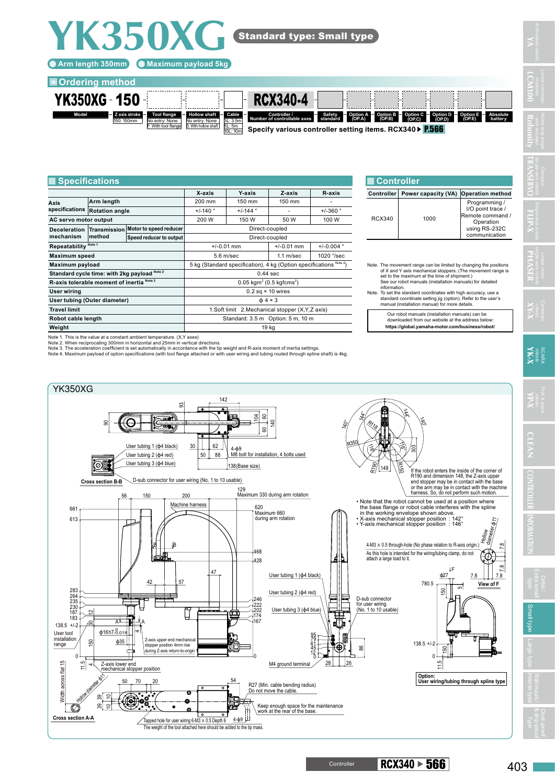## **Arm length 350mm Maximum payload 5kg**

**YK350XG**

## **Ordering method**



## **X-axis Y-axis Z-axis R-axis Axis specifications Arm length**  200 mm 150 mm 150 mm **Rotation angle +/-140** °  $+$ /-140 °  $+$   $+$ /-144 °  $+$   $+$ /-360 **AC servo motor output 150 W 150 W 150 W 100 W 100 W Deceleration mechanism Transmission method Motor to speed reducer Direct-coupled Speed reducer to output** Direct-coupled **Repeatability** Note 1 **1** +/-0.01 mm +/-0.01 mm +/-0.01 mm +/-0.004 **Maximum speed 1020 °/sec 1020 °/sec 1020 °/sec 1020 °/sec 1020 °/sec 1020 °/sec 1020 °/sec 1020 °/sec 1020 °/sec 1020 °/sec 1020 °/sec 1020 °/sec 1020 °/sec 1020 °/sec 1020 °/sec 1020 °/sec 1020 °/sec 1020 °/sec 1020 °/se Maximum payload** 5 kg (Standard specification), 4 kg (Option specifications<sup>Note</sup> Standard cycle time: with 2kg payload Note<sup>2</sup> 2 2 2 2 3 44 Sec **R-axis tolerable moment of inertia** Note 3  $(0.5 \text{ kgf} \text{cm} \text{s}^2)$ **User wiring** 0.2 sq × 10 wires **User tubing (Outer diameter)** ϕ 4 × 3 **T.Soft limit** 2.Mechanical stopper (X,Y,Z axis) **Robot cable length Standard: 3.5 m Option: 5 m, 10 m Weight** 19 kg **Specifications Controller**

Note 1. This is the value at a constant ambient temperature. (X,Y axes)

Note 2. When reciprocating 300mm in horizontal and 25mm in vertical directions.

Note 3. The acceleration coefficient is set automatically in accordance with the tip weight and R-axis moment of inertia settings.<br>Note 4. Maximum payload of option specifications (with tool flange attached or with user wi

YK350XG 142 ඝ  $\widehat{\mathbb{F}}$ 144°  $\tilde{a}$  $4-\phi$ 9<br> $4-\phi$ 9<br>138 (Base size)  $\check{\mathbb{F}}$ 140 140°  $\mathcal{R}_{\mathcal{U}_{\mathcal{S}}}$ ඝ 60 R350 局 User tubing 1 (ϕ4 black)  $30$  62  $\tilde{\varepsilon}$ 303 4-ϕ9 User tubing 2 (ϕ4 red)  $88$ 4 bolts used User tubing 3 (ϕ4 blue) ◎勵  $\frac{8}{2}$  148 R150 If the robot enters the inside of the corner of R190 and dimension 148, the Z-axis upper sub connector for user wiring (No. 1 to 10 usable) **Cross section B-B** end stopper may be in contact with the base or the arm may be in contact with the machine harness. So, do not perform such motion. 129<br>Maxi 200 Maximum 330 during arm rotation 150 56 • Note that the robot cannot be used at a position where Machine harness 661 620 the base flange or robot cable interferes with the spline Maximum 660 in the working envelope shown above. • X-axis mechanical stopper position : 142° • Y-axis mechanical stopper position : 146° 613 during arm rotation diameter ϕ11 Hollow 4-M3 × 0.5 through-hole (No phase relation to R-axis origin.) B B 7.8 468 As this hole is intended for the wiring/tubing clamp, do not atto hold to interface 428  $\tilde{c}$ ↓F  $47$ User tubing 1 (ϕ4 black) ϕ27 7.8 7.8 42 57 780.5 **View of F** 150 5 283<br>264<br>235<br>230<br>187 User tubing 2 (ϕ4 red) D-sub connector 246 202 222 for user wiring (No. 1 to 10 usable) anal type Large type inverse type inverse type in the SM section of the SM section of the SM section of the SM<br>Contract to the SM section of the SM section of the SM section of the SM section of the SM section of the SM s Π User tubing 3 (ф4 blu  $\sim$ C f --<br>74 183 167  $138.5 +1.2$ A——<del>∎|</del>⊣ A  $\frac{16h7.0018}{h}$ User tool 4 95 installation ϕ35 Z-axis upper end mechanical stopper position 4mm rise 79 150  $138.5 +1.2$ range 61 咀 45 86 150 return-to-orig 12 0  $\boldsymbol{0}$  $\mathfrak c$ 0  $\frac{1}{2}$ M4 ground termina Width across flat 15 28 26 11.5 11.5 Z-axis lower end mechanical stopper position 4lat Hollow diameter Art **Option: User wiring/tubing through spline type** rmes 54 50 70 20 R27 (Min. cable bending radius) Do not move the cable 青 ఇ 5  $\tilde{\mathbf{e}}_{\circledcirc}^{\otimes}$ Keep enough space for the maintenance TØ, ఇ 10 6. work at the rear of the base. **Cross section A-A**  4-ϕ9 pped hole for user wiring  $6-M3 \times 0.5$  Depth 6 The weight of the tool attached here should be added to the tip mass

**Controller Power capacity (VA) Operation method**

Note. The movement range can be limited by changing the positions of X and Y axis mechanical stoppers. (The movement range is set to the maximum at the time of shipment.) See our robot manuals (installation manuals) for detailed information. Note. To set the standard coordinates with high accuracy, use a standard coordinate setting jig (option). Refer to the user's manual (installation manual) for more details. Our robot manuals (installation manuals) can be downloaded from our website at the address below: **https://global.yamaha-motor.com/business/robot/**

Programming /<br>I/O point trace / Remote command / Operation using RS-232C communication

 $Rcy340$  1000

**YA**

**LCM100**

**XY-X**

**CLEAN**